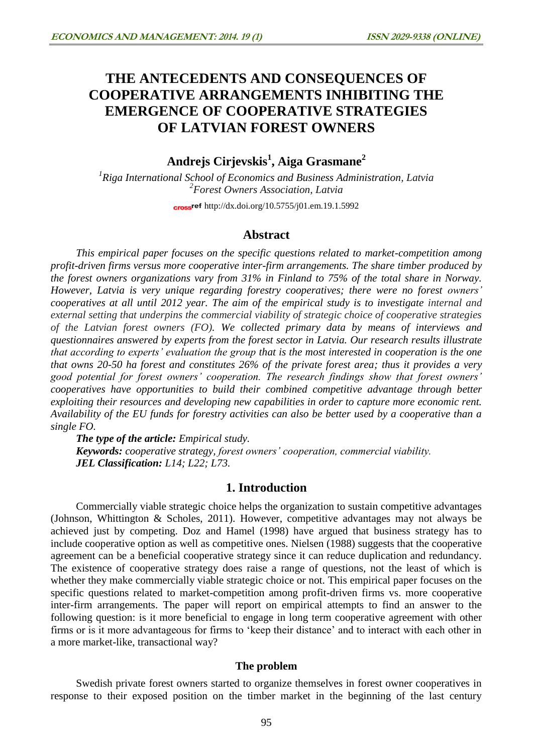# **THE ANTECEDENTS AND CONSEQUENCES OF COOPERATIVE ARRANGEMENTS INHIBITING THE EMERGENCE OF COOPERATIVE STRATEGIES OF LATVIAN FOREST OWNERS**

**Andrejs Cirjevskis<sup>1</sup> , Aiga Grasmane<sup>2</sup>**

*1 Riga International School of Economics and Business Administration, Latvia 2 Forest Owners Association, Latvia*

cross<sup>ref</sup> <http://dx.doi.org/10.5755/j01.em.19.1.5992>

## **Abstract**

*This empirical paper focuses on the specific questions related to market-competition among profit-driven firms versus more cooperative inter-firm arrangements. The share timber produced by the forest owners organizations vary from 31% in Finland to 75% of the total share in Norway. However, Latvia is very unique regarding forestry cooperatives; there were no forest owners' cooperatives at all until 2012 year. The aim of the empirical study is to investigate internal and external setting that underpins the commercial viability of strategic choice of cooperative strategies of the Latvian forest owners (FO). We collected primary data by means of interviews and questionnaires answered by experts from the forest sector in Latvia. Our research results illustrate that according to experts' evaluation the group that is the most interested in cooperation is the one that owns 20-50 ha forest and constitutes 26% of the private forest area; thus it provides a very good potential for forest owners' cooperation. The research findings show that forest owners' cooperatives have opportunities to build their combined competitive advantage through better exploiting their resources and developing new capabilities in order to capture more economic rent. Availability of the EU funds for forestry activities can also be better used by a cooperative than a single FO.*

*The type of the article: Empirical study. Keywords: cooperative strategy, forest owners' cooperation, commercial viability. JEL Classification: L14; L22; L73.*

# **1. Introduction**

Commercially viable strategic choice helps the organization to sustain competitive advantages (Johnson, Whittington & Scholes, 2011). However, competitive advantages may not always be achieved just by competing. Doz and Hamel (1998) have argued that business strategy has to include cooperative option as well as competitive ones. Nielsen (1988) suggests that the cooperative agreement can be a beneficial cooperative strategy since it can reduce duplication and redundancy. The existence of cooperative strategy does raise a range of questions, not the least of which is whether they make commercially viable strategic choice or not. This empirical paper focuses on the specific questions related to market-competition among profit-driven firms vs. more cooperative inter-firm arrangements. The paper will report on empirical attempts to find an answer to the following question: is it more beneficial to engage in long term cooperative agreement with other firms or is it more advantageous for firms to 'keep their distance' and to interact with each other in a more market-like, transactional way?

#### **The problem**

Swedish private forest owners started to organize themselves in forest owner cooperatives in response to their exposed position on the timber market in the beginning of the last century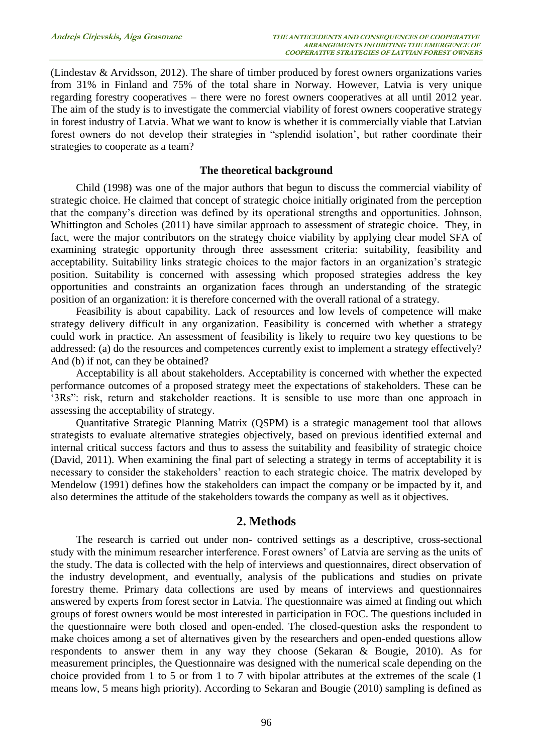(Lindestav & Arvidsson, 2012). The share of timber produced by forest owners organizations varies from 31% in Finland and 75% of the total share in Norway. However, Latvia is very unique regarding forestry cooperatives – there were no forest owners cooperatives at all until 2012 year. The aim of the study is to investigate the commercial viability of forest owners cooperative strategy in forest industry of Latvia. What we want to know is whether it is commercially viable that Latvian forest owners do not develop their strategies in "splendid isolation', but rather coordinate their strategies to cooperate as a team?

#### **The theoretical background**

Child (1998) was one of the major authors that begun to discuss the commercial viability of strategic choice. He claimed that concept of strategic choice initially originated from the perception that the company's direction was defined by its operational strengths and opportunities. Johnson, Whittington and Scholes (2011) have similar approach to assessment of strategic choice. They, in fact, were the major contributors on the strategy choice viability by applying clear model SFA of examining strategic opportunity through three assessment criteria: suitability, feasibility and acceptability. Suitability links strategic choices to the major factors in an organization's strategic position. Suitability is concerned with assessing which proposed strategies address the key opportunities and constraints an organization faces through an understanding of the strategic position of an organization: it is therefore concerned with the overall rational of a strategy.

Feasibility is about capability. Lack of resources and low levels of competence will make strategy delivery difficult in any organization. Feasibility is concerned with whether a strategy could work in practice. An assessment of feasibility is likely to require two key questions to be addressed: (a) do the resources and competences currently exist to implement a strategy effectively? And (b) if not, can they be obtained?

Acceptability is all about stakeholders. Acceptability is concerned with whether the expected performance outcomes of a proposed strategy meet the expectations of stakeholders. These can be '3Rs": risk, return and stakeholder reactions. It is sensible to use more than one approach in assessing the acceptability of strategy.

Quantitative Strategic Planning Matrix (QSPM) is a strategic management tool that allows strategists to evaluate alternative strategies objectively, based on previous identified external and internal critical success factors and thus to assess the suitability and feasibility of strategic choice (David, 2011). When examining the final part of selecting a strategy in terms of acceptability it is necessary to consider the stakeholders' reaction to each strategic choice. The matrix developed by Mendelow (1991) defines how the stakeholders can impact the company or be impacted by it, and also determines the attitude of the stakeholders towards the company as well as it objectives.

## **2. Methods**

The research is carried out under non- contrived settings as a descriptive, cross-sectional study with the minimum researcher interference. Forest owners' of Latvia are serving as the units of the study. The data is collected with the help of interviews and questionnaires, direct observation of the industry development, and eventually, analysis of the publications and studies on private forestry theme. Primary data collections are used by means of interviews and questionnaires answered by experts from forest sector in Latvia. The questionnaire was aimed at finding out which groups of forest owners would be most interested in participation in FOC. The questions included in the questionnaire were both closed and open-ended. The closed-question asks the respondent to make choices among a set of alternatives given by the researchers and open-ended questions allow respondents to answer them in any way they choose (Sekaran & Bougie, 2010). As for measurement principles, the Questionnaire was designed with the numerical scale depending on the choice provided from 1 to 5 or from 1 to 7 with bipolar attributes at the extremes of the scale (1 means low, 5 means high priority). According to Sekaran and Bougie (2010) sampling is defined as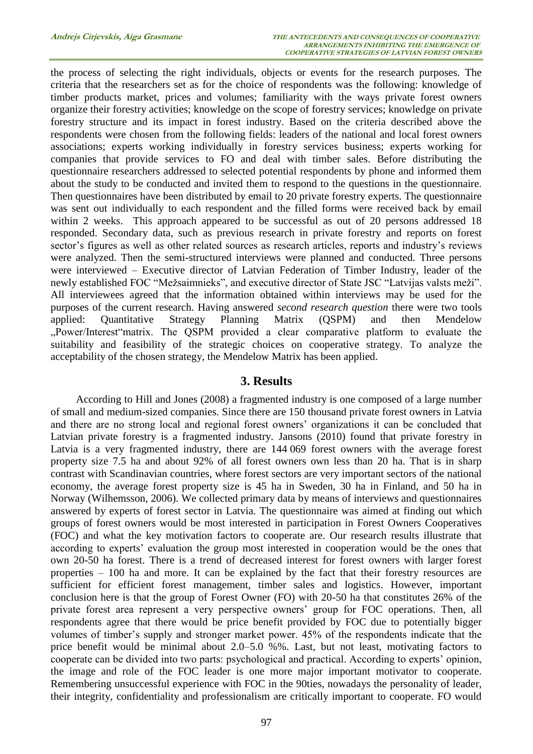the process of selecting the right individuals, objects or events for the research purposes. The criteria that the researchers set as for the choice of respondents was the following: knowledge of timber products market, prices and volumes; familiarity with the ways private forest owners organize their forestry activities; knowledge on the scope of forestry services; knowledge on private forestry structure and its impact in forest industry. Based on the criteria described above the respondents were chosen from the following fields: leaders of the national and local forest owners associations; experts working individually in forestry services business; experts working for companies that provide services to FO and deal with timber sales. Before distributing the questionnaire researchers addressed to selected potential respondents by phone and informed them about the study to be conducted and invited them to respond to the questions in the questionnaire. Then questionnaires have been distributed by email to 20 private forestry experts. The questionnaire was sent out individually to each respondent and the filled forms were received back by email within 2 weeks. This approach appeared to be successful as out of 20 persons addressed 18 responded. Secondary data, such as previous research in private forestry and reports on forest sector's figures as well as other related sources as research articles, reports and industry's reviews were analyzed. Then the semi*-*structured interviews were planned and conducted. Three persons were interviewed – Executive director of Latvian Federation of Timber Industry, leader of the newly established FOC "Mežsaimnieks", and executive director of State JSC "Latvijas valsts meži". All interviewees agreed that the information obtained within interviews may be used for the purposes of the current research. Having answered *second research question* there were two tools applied: Quantitative Strategy Planning Matrix (QSPM) and then Mendelow "Power/Interest"matrix. The QSPM provided a clear comparative platform to evaluate the suitability and feasibility of the strategic choices on cooperative strategy. To analyze the acceptability of the chosen strategy, the Mendelow Matrix has been applied.

# **3. Results**

According to Hill and Jones (2008) a fragmented industry is one composed of a large number of small and medium-sized companies*.* Since there are 150 thousand private forest owners in Latvia and there are no strong local and regional forest owners' organizations it can be concluded that Latvian private forestry is a fragmented industry. Jansons (2010) found that private forestry in Latvia is a very fragmented industry, there are 144 069 forest owners with the average forest property size 7.5 ha and about 92% of all forest owners own less than 20 ha. That is in sharp contrast with Scandinavian countries, where forest sectors are very important sectors of the national economy, the average forest property size is 45 ha in Sweden, 30 ha in Finland, and 50 ha in Norway (Wilhemsson, 2006). We collected primary data by means of interviews and questionnaires answered by experts of forest sector in Latvia. The questionnaire was aimed at finding out which groups of forest owners would be most interested in participation in Forest Owners Cooperatives (FOC) and what the key motivation factors to cooperate are. Our research results illustrate that according to experts' evaluation the group most interested in cooperation would be the ones that own 20-50 ha forest. There is a trend of decreased interest for forest owners with larger forest properties – 100 ha and more. It can be explained by the fact that their forestry resources are sufficient for efficient forest management, timber sales and logistics. However, important conclusion here is that the group of Forest Owner (FO) with 20-50 ha that constitutes 26% of the private forest area represent a very perspective owners' group for FOC operations. Then, all respondents agree that there would be price benefit provided by FOC due to potentially bigger volumes of timber's supply and stronger market power. 45% of the respondents indicate that the price benefit would be minimal about 2.0–5.0 %%. Last, but not least, motivating factors to cooperate can be divided into two parts: psychological and practical. According to experts' opinion, the image and role of the FOC leader is one more major important motivator to cooperate. Remembering unsuccessful experience with FOC in the 90ties, nowadays the personality of leader, their integrity, confidentiality and professionalism are critically important to cooperate. FO would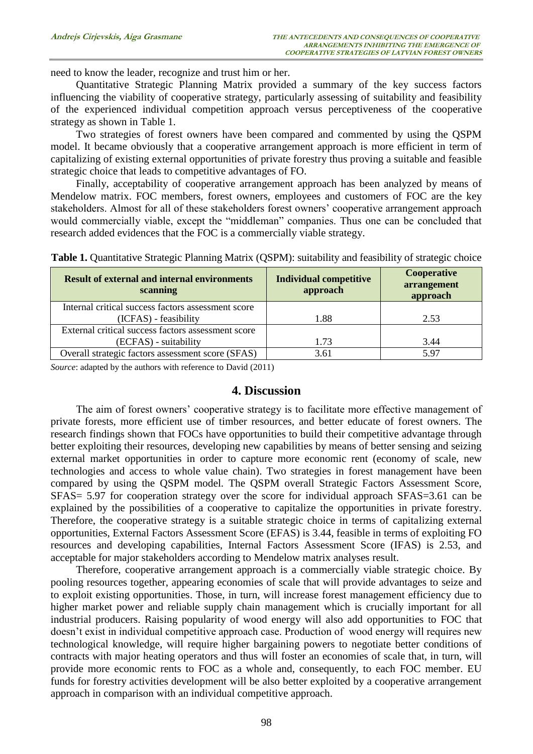need to know the leader, recognize and trust him or her.

Quantitative Strategic Planning Matrix provided a summary of the key success factors influencing the viability of cooperative strategy, particularly assessing of suitability and feasibility of the experienced individual competition approach versus perceptiveness of the cooperative strategy as shown in Table 1.

Two strategies of forest owners have been compared and commented by using the QSPM model. It became obviously that a cooperative arrangement approach is more efficient in term of capitalizing of existing external opportunities of private forestry thus proving a suitable and feasible strategic choice that leads to competitive advantages of FO.

Finally, acceptability of cooperative arrangement approach has been analyzed by means of Mendelow matrix. FOC members, forest owners, employees and customers of FOC are the key stakeholders. Almost for all of these stakeholders forest owners' cooperative arrangement approach would commercially viable, except the "middleman" companies. Thus one can be concluded that research added evidences that the FOC is a commercially viable strategy.

| <b>Result of external and internal environments</b><br>scanning | <b>Individual competitive</b><br>approach | Cooperative<br>arrangement<br>approach |
|-----------------------------------------------------------------|-------------------------------------------|----------------------------------------|
| Internal critical success factors assessment score              |                                           |                                        |
| (ICFAS) - feasibility                                           | 1.88                                      | 2.53                                   |
| External critical success factors assessment score              |                                           |                                        |
| (ECFAS) - suitability                                           | 1.73                                      | 3.44                                   |
| Overall strategic factors assessment score (SFAS)               | 3.61                                      | 5.97                                   |

**Table 1.** Quantitative Strategic Planning Matrix (QSPM): suitability and feasibility of strategic choice

*Source*: adapted by the authors with reference to David (2011)

## **4. Discussion**

The aim of forest owners' cooperative strategy is to facilitate more effective management of private forests, more efficient use of timber resources, and better educate of forest owners. The research findings shown that FOCs have opportunities to build their competitive advantage through better exploiting their resources, developing new capabilities by means of better sensing and seizing external market opportunities in order to capture more economic rent (economy of scale, new technologies and access to whole value chain). Two strategies in forest management have been compared by using the QSPM model. The QSPM overall Strategic Factors Assessment Score, SFAS= 5.97 for cooperation strategy over the score for individual approach SFAS=3.61 can be explained by the possibilities of a cooperative to capitalize the opportunities in private forestry. Therefore, the cooperative strategy is a suitable strategic choice in terms of capitalizing external opportunities, External Factors Assessment Score (EFAS) is 3.44, feasible in terms of exploiting FO resources and developing capabilities, Internal Factors Assessment Score (IFAS) is 2.53, and acceptable for major stakeholders according to Mendelow matrix analyses result.

Therefore, cooperative arrangement approach is a commercially viable strategic choice. By pooling resources together, appearing economies of scale that will provide advantages to seize and to exploit existing opportunities. Those, in turn, will increase forest management efficiency due to higher market power and reliable supply chain management which is crucially important for all industrial producers. Raising popularity of wood energy will also add opportunities to FOC that doesn't exist in individual competitive approach case. Production of wood energy will requires new technological knowledge, will require higher bargaining powers to negotiate better conditions of contracts with major heating operators and thus will foster an economies of scale that, in turn, will provide more economic rents to FOC as a whole and, consequently, to each FOC member. EU funds for forestry activities development will be also better exploited by a cooperative arrangement approach in comparison with an individual competitive approach.